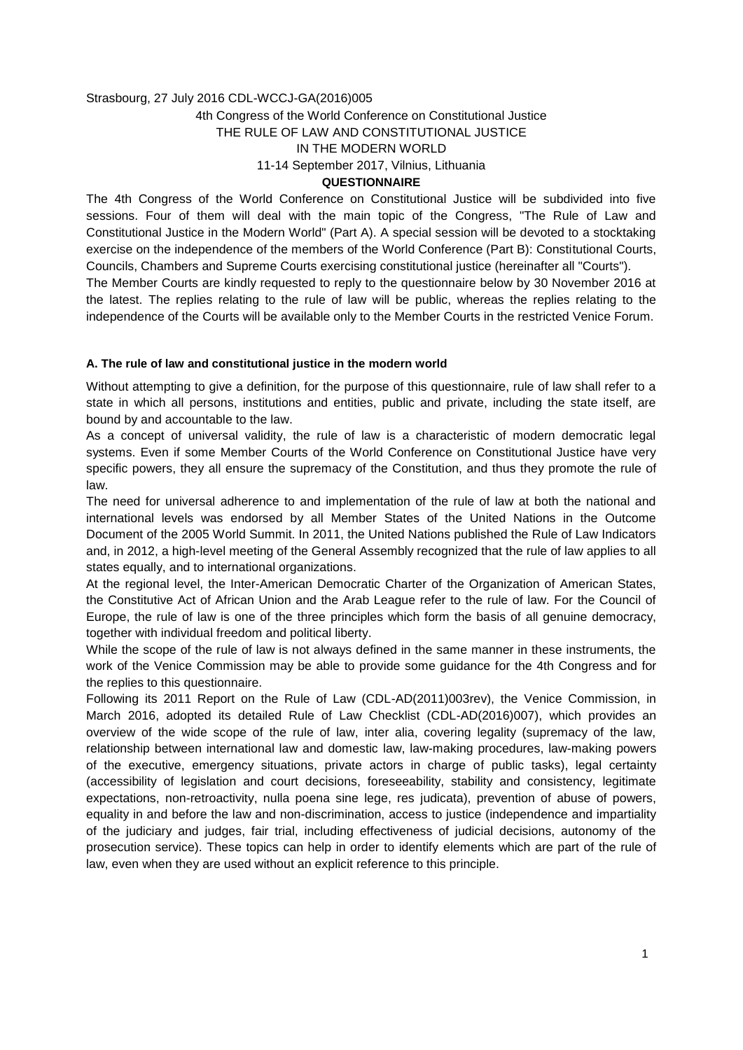#### Strasbourg, 27 July 2016 CDL-WCCJ-GA(2016)005

### 4th Congress of the World Conference on Constitutional Justice

# THE RULE OF LAW AND CONSTITUTIONAL JUSTICE

IN THE MODERN WORLD

11-14 September 2017, Vilnius, Lithuania

#### **QUESTIONNAIRE**

The 4th Congress of the World Conference on Constitutional Justice will be subdivided into five sessions. Four of them will deal with the main topic of the Congress, "The Rule of Law and Constitutional Justice in the Modern World" (Part A). A special session will be devoted to a stocktaking exercise on the independence of the members of the World Conference (Part B): Constitutional Courts, Councils, Chambers and Supreme Courts exercising constitutional justice (hereinafter all "Courts").

The Member Courts are kindly requested to reply to the questionnaire below by 30 November 2016 at the latest. The replies relating to the rule of law will be public, whereas the replies relating to the independence of the Courts will be available only to the Member Courts in the restricted Venice Forum.

#### **A. The rule of law and constitutional justice in the modern world**

Without attempting to give a definition, for the purpose of this questionnaire, rule of law shall refer to a state in which all persons, institutions and entities, public and private, including the state itself, are bound by and accountable to the law.

As a concept of universal validity, the rule of law is a characteristic of modern democratic legal systems. Even if some Member Courts of the World Conference on Constitutional Justice have very specific powers, they all ensure the supremacy of the Constitution, and thus they promote the rule of law.

The need for universal adherence to and implementation of the rule of law at both the national and international levels was endorsed by all Member States of the United Nations in the Outcome Document of the 2005 World Summit. In 2011, the United Nations published the Rule of Law Indicators and, in 2012, a high-level meeting of the General Assembly recognized that the rule of law applies to all states equally, and to international organizations.

At the regional level, the Inter-American Democratic Charter of the Organization of American States, the Constitutive Act of African Union and the Arab League refer to the rule of law. For the Council of Europe, the rule of law is one of the three principles which form the basis of all genuine democracy, together with individual freedom and political liberty.

While the scope of the rule of law is not always defined in the same manner in these instruments, the work of the Venice Commission may be able to provide some guidance for the 4th Congress and for the replies to this questionnaire.

Following its 2011 Report on the Rule of Law (CDL-AD(2011)003rev), the Venice Commission, in March 2016, adopted its detailed Rule of Law Checklist (CDL-AD(2016)007), which provides an overview of the wide scope of the rule of law, inter alia, covering legality (supremacy of the law, relationship between international law and domestic law, law-making procedures, law-making powers of the executive, emergency situations, private actors in charge of public tasks), legal certainty (accessibility of legislation and court decisions, foreseeability, stability and consistency, legitimate expectations, non-retroactivity, nulla poena sine lege, res judicata), prevention of abuse of powers, equality in and before the law and non-discrimination, access to justice (independence and impartiality of the judiciary and judges, fair trial, including effectiveness of judicial decisions, autonomy of the prosecution service). These topics can help in order to identify elements which are part of the rule of law, even when they are used without an explicit reference to this principle.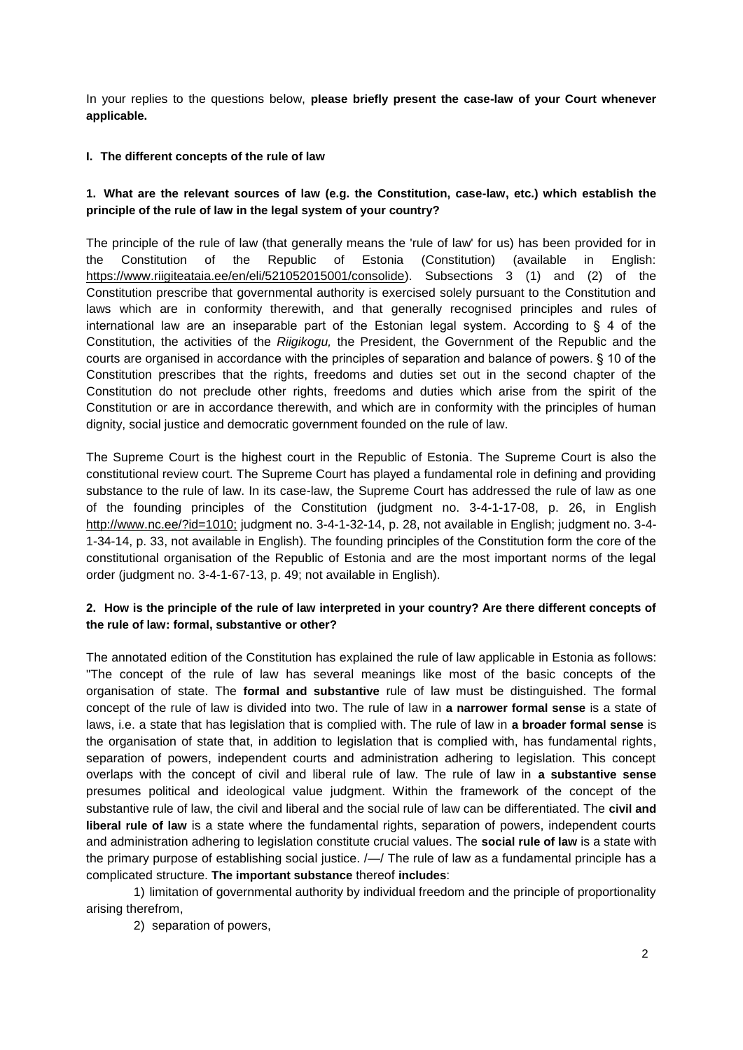In your replies to the questions below, **please briefly present the case-law of your Court whenever applicable.**

#### **I. The different concepts of the rule of law**

# **1. What are the relevant sources of law (e.g. the Constitution, case-law, etc.) which establish the principle of the rule of law in the legal system of your country?**

The principle of the rule of law (that generally means the 'rule of law' for us) has been provided for in the Constitution of the Republic of Estonia (Constitution) (available in English: [https://www.riigiteataia.ee/en/eli/521052015001/consolide\).](https://www.riigiteataja.ee/en/eli/521052015001/consolide) Subsections 3 (1) and (2) of the Constitution prescribe that governmental authority is exercised solely pursuant to the Constitution and laws which are in conformity therewith, and that generally recognised principles and rules of international law are an inseparable part of the Estonian legal system. According to  $\S$  4 of the Constitution, the activities of the *Riigikogu,* the President, the Government of the Republic and the courts are organised in accordance with the principles of separation and balance of powers. § 10 of the Constitution prescribes that the rights, freedoms and duties set out in the second chapter of the Constitution do not preclude other rights, freedoms and duties which arise from the spirit of the Constitution or are in accordance therewith, and which are in conformity with the principles of human dignity, social justice and democratic government founded on the rule of law.

The Supreme Court is the highest court in the Republic of Estonia. The Supreme Court is also the constitutional review court. The Supreme Court has played a fundamental role in defining and providing substance to the rule of law. In its case-law, the Supreme Court has addressed the rule of law as one of the founding principles of the Constitution (judgment no. 3-4-1-17-08, p. 26, in English [http://www.nc.ee/?id=1010;](http://www.nc.ee/?id=1010) judgment no. 3-4-1-32-14, p. 28, not available in English; judgment no. 3-4- 1-34-14, p. 33, not available in English). The founding principles of the Constitution form the core of the constitutional organisation of the Republic of Estonia and are the most important norms of the legal order (judgment no. 3-4-1-67-13, p. 49; not available in English).

### **2. How is the principle of the rule of law interpreted in your country? Are there different concepts of the rule of law: formal, substantive or other?**

The annotated edition of the Constitution has explained the rule of law applicable in Estonia as follows: "The concept of the rule of law has several meanings like most of the basic concepts of the organisation of state. The **formal and substantive** rule of law must be distinguished. The formal concept of the rule of law is divided into two. The rule of law in **a narrower formal sense** is a state of laws, i.e. a state that has legislation that is complied with. The rule of law in **a broader formal sense** is the organisation of state that, in addition to legislation that is complied with, has fundamental rights, separation of powers, independent courts and administration adhering to legislation. This concept overlaps with the concept of civil and liberal rule of law. The rule of law in **a substantive sense**  presumes political and ideological value judgment. Within the framework of the concept of the substantive rule of law, the civil and liberal and the social rule of law can be differentiated. The **civil and liberal rule of law** is a state where the fundamental rights, separation of powers, independent courts and administration adhering to legislation constitute crucial values. The **social rule of law** is a state with the primary purpose of establishing social justice. /—/ The rule of law as a fundamental principle has a complicated structure. **The important substance** thereof **includes**:

1) limitation of governmental authority by individual freedom and the principle of proportionality arising therefrom,

2) separation of powers,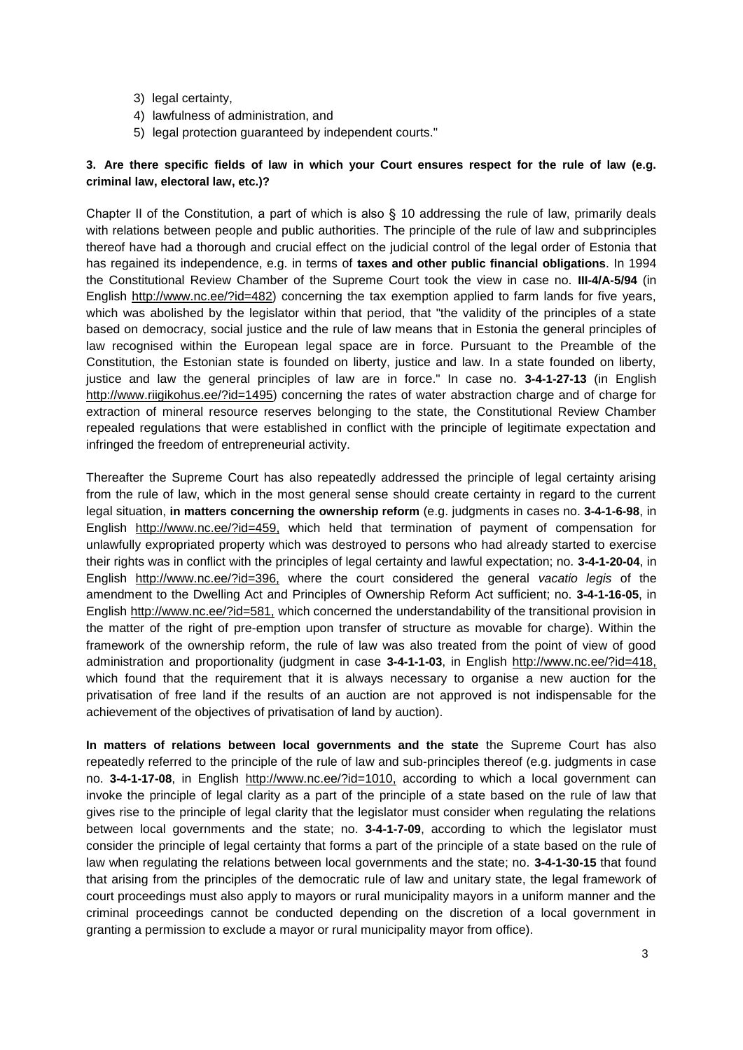- 3) legal certainty,
- 4) lawfulness of administration, and
- 5) legal protection guaranteed by independent courts."

# **3. Are there specific fields of law in which your Court ensures respect for the rule of law (e.g. criminal law, electoral law, etc.)?**

Chapter II of the Constitution, a part of which is also  $\S$  10 addressing the rule of law, primarily deals with relations between people and public authorities. The principle of the rule of law and subprinciples thereof have had a thorough and crucial effect on the judicial control of the legal order of Estonia that has regained its independence, e.g. in terms of **taxes and other public financial obligations**. In 1994 the Constitutional Review Chamber of the Supreme Court took the view in case no. **III-4/A-5/94** (in English [http://www.nc.ee/?id=482\)](http://www.nc.ee/?id=482) concerning the tax exemption applied to farm lands for five years, which was abolished by the legislator within that period, that "the validity of the principles of a state based on democracy, social justice and the rule of law means that in Estonia the general principles of law recognised within the European legal space are in force. Pursuant to the Preamble of the Constitution, the Estonian state is founded on liberty, justice and law. In a state founded on liberty, justice and law the general principles of law are in force." In case no. **3-4-1-27-13** (in Englis[h](http://www.riigikohus.ee/?id=1495) [http://www.riigikohus.ee/?id=1495\)](http://www.riigikohus.ee/?id=1495) concerning the rates of water abstraction charge and of charge for extraction of mineral resource reserves belonging to the state, the Constitutional Review Chamber repealed regulations that were established in conflict with the principle of legitimate expectation and infringed the freedom of entrepreneurial activity.

Thereafter the Supreme Court has also repeatedly addressed the principle of legal certainty arising from the rule of law, which in the most general sense should create certainty in regard to the current legal situation, **in matters concerning the ownership reform** (e.g. judgments in cases no. **3-4-1-6-98**, in English [http://www.nc.ee/?id=459,](http://www.nc.ee/?id=459) which held that termination of payment of compensation for unlawfully expropriated property which was destroyed to persons who had already started to exercise their rights was in conflict with the principles of legal certainty and lawful expectation; no. **3-4-1-20-04**, in English [http://www.nc.ee/?id=396,](http://www.nc.ee/?id=396) where the court considered the general *vacatio legis* of the amendment to the Dwelling Act and Principles of Ownership Reform Act sufficient; no. **3-4-1-16-05**, in English [http://www.nc.ee/?id=581,](http://www.nc.ee/?id=581) which concerned the understandability of the transitional provision in the matter of the right of pre-emption upon transfer of structure as movable for charge). Within the framework of the ownership reform, the rule of law was also treated from the point of view of good administration and proportionality (judgment in case **3-4-1-1-03**, in English [http://www.nc.ee/?id=418,](http://www.nc.ee/?id=418) which found that the requirement that it is always necessary to organise a new auction for the privatisation of free land if the results of an auction are not approved is not indispensable for the achievement of the objectives of privatisation of land by auction).

**In matters of relations between local governments and the state** the Supreme Court has also repeatedly referred to the principle of the rule of law and sub-principles thereof (e.g. judgments in case no. **3-4-1-17-08**, in English [http://www.nc.ee/?id=1010,](http://www.nc.ee/?id=1010) according to which a local government can invoke the principle of legal clarity as a part of the principle of a state based on the rule of law that gives rise to the principle of legal clarity that the legislator must consider when regulating the relations between local governments and the state; no. **3-4-1-7-09**, according to which the legislator must consider the principle of legal certainty that forms a part of the principle of a state based on the rule of law when regulating the relations between local governments and the state; no. **3-4-1-30-15** that found that arising from the principles of the democratic rule of law and unitary state, the legal framework of court proceedings must also apply to mayors or rural municipality mayors in a uniform manner and the criminal proceedings cannot be conducted depending on the discretion of a local government in granting a permission to exclude a mayor or rural municipality mayor from office).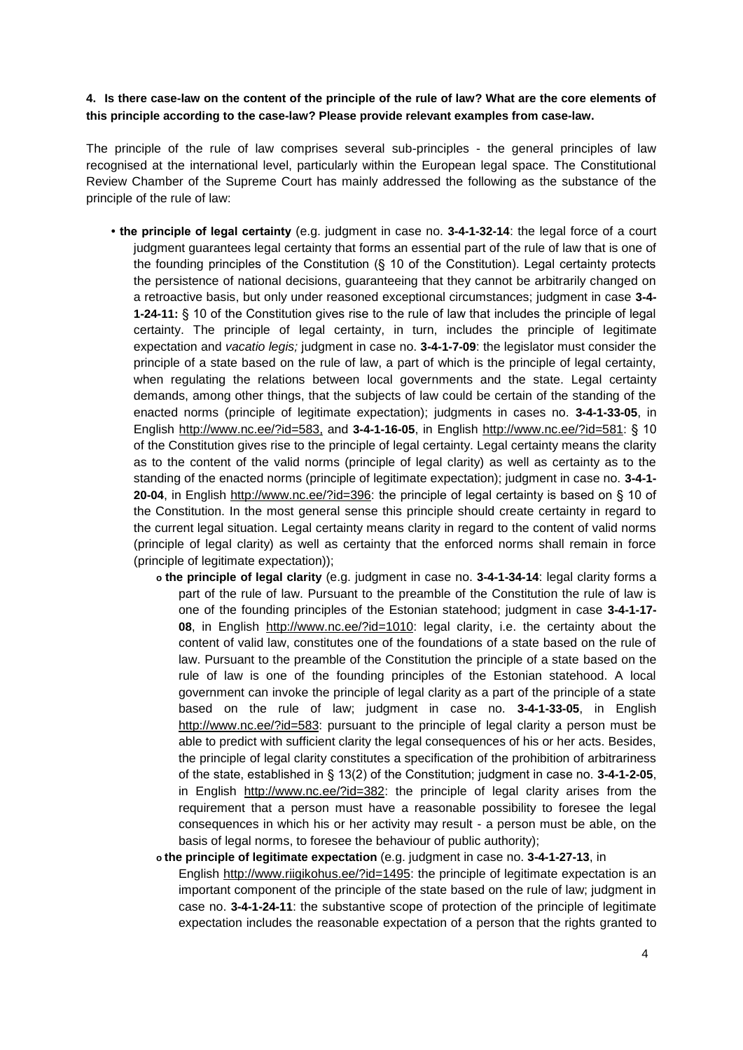#### **4. Is there case-law on the content of the principle of the rule of law? What are the core elements of this principle according to the case-law? Please provide relevant examples from case-law.**

The principle of the rule of law comprises several sub-principles - the general principles of law recognised at the international level, particularly within the European legal space. The Constitutional Review Chamber of the Supreme Court has mainly addressed the following as the substance of the principle of the rule of law:

- the principle of legal certainty (e.g. judgment in case no. 3-4-1-32-14: the legal force of a court judgment guarantees legal certainty that forms an essential part of the rule of law that is one of the founding principles of the Constitution (§ 10 of the Constitution). Legal certainty protects the persistence of national decisions, guaranteeing that they cannot be arbitrarily changed on a retroactive basis, but only under reasoned exceptional circumstances; judgment in case **3-4- 1-24-11:** § 10 of the Constitution gives rise to the rule of law that includes the principle of legal certainty. The principle of legal certainty, in turn, includes the principle of legitimate expectation and *vacatio legis;* judgment in case no. **3-4-1-7-09**: the legislator must consider the principle of a state based on the rule of law, a part of which is the principle of legal certainty, when regulating the relations between local governments and the state. Legal certainty demands, among other things, that the subjects of law could be certain of the standing of the enacted norms (principle of legitimate expectation); judgments in cases no. **3-4-1-33-05**, in English [http://www.nc.ee/?id=583,](http://www.nc.ee/?id=583) and **3-4-1-16-05**, in English [http://www.nc.ee/?id=581:](http://www.nc.ee/?id=581) § 10 of the Constitution gives rise to the principle of legal certainty. Legal certainty means the clarity as to the content of the valid norms (principle of legal clarity) as well as certainty as to the standing of the enacted norms (principle of legitimate expectation); judgment in case no. **3-4-1- 20-04**, in English [http://www.nc.ee/?id=396:](http://www.nc.ee/?id=396) the principle of legal certainty is based on § 10 of the Constitution. In the most general sense this principle should create certainty in regard to the current legal situation. Legal certainty means clarity in regard to the content of valid norms (principle of legal clarity) as well as certainty that the enforced norms shall remain in force (principle of legitimate expectation));
	- **o the principle of legal clarity** (e.g. judgment in case no. **3-4-1-34-14**: legal clarity forms a part of the rule of law. Pursuant to the preamble of the Constitution the rule of law is one of the founding principles of the Estonian statehood; judgment in case **3-4-1-17- 08**, in English [http://www.nc.ee/?id=1010:](http://www.nc.ee/?id=1010) legal clarity, i.e. the certainty about the content of valid law, constitutes one of the foundations of a state based on the rule of law. Pursuant to the preamble of the Constitution the principle of a state based on the rule of law is one of the founding principles of the Estonian statehood. A local government can invoke the principle of legal clarity as a part of the principle of a state based on the rule of law; judgment in case no. **3-4-1-33-05**, in Englis[h](http://www.nc.ee/?id=583) [http://www.nc.ee/?id=583:](http://www.nc.ee/?id=583) pursuant to the principle of legal clarity a person must be able to predict with sufficient clarity the legal consequences of his or her acts. Besides, the principle of legal clarity constitutes a specification of the prohibition of arbitrariness of the state, established in § 13(2) of the Constitution; judgment in case no. **3-4-1-2-05**, in English [http://www.nc.ee/?id=382:](http://www.nc.ee/?id=382) the principle of legal clarity arises from the requirement that a person must have a reasonable possibility to foresee the legal consequences in which his or her activity may result - a person must be able, on the basis of legal norms, to foresee the behaviour of public authority);

#### **o the principle of legitimate expectation** (e.g. judgment in case no. **3-4-1-27-13**, in

English [http://www.riigikohus.ee/?id=1495:](http://www.riigikohus.ee/?id=1495) the principle of legitimate expectation is an important component of the principle of the state based on the rule of law; judgment in case no. **3-4-1-24-11**: the substantive scope of protection of the principle of legitimate expectation includes the reasonable expectation of a person that the rights granted to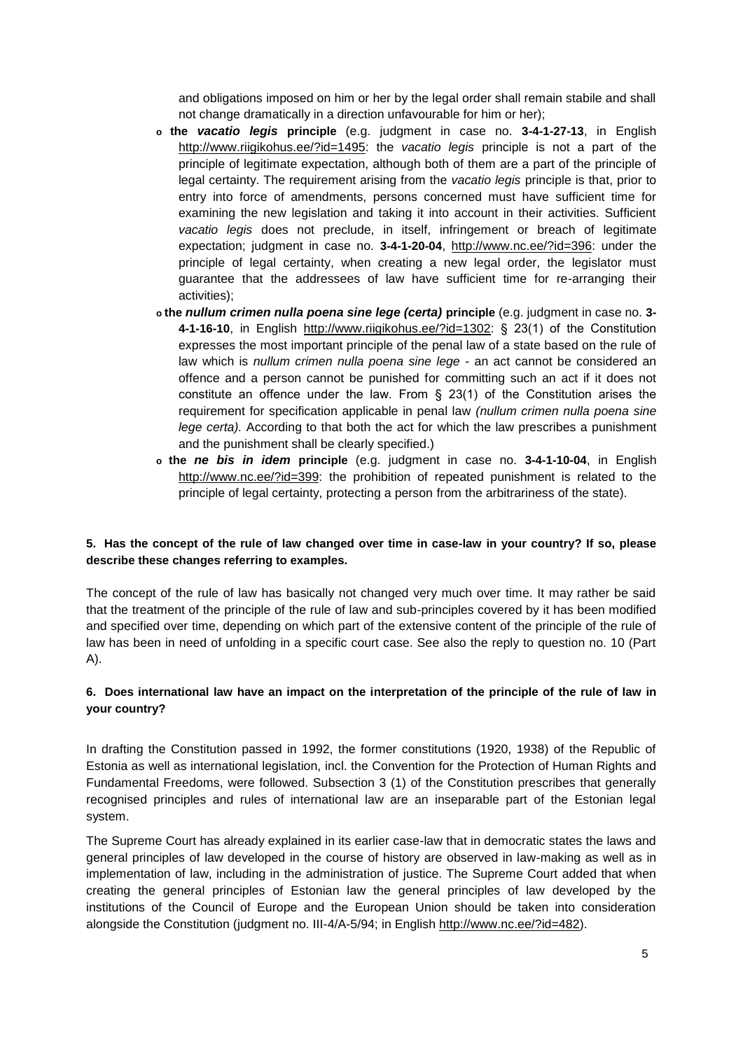and obligations imposed on him or her by the legal order shall remain stabile and shall not change dramatically in a direction unfavourable for him or her);

- **o the** *vacatio legis* **principle** (e.g. judgment in case no. **3-4-1-27-13**, in English [http://www.riigikohus.ee/?id=1495:](http://www.riigikohus.ee/?id=1495) the *vacatio legis* principle is not a part of the principle of legitimate expectation, although both of them are a part of the principle of legal certainty. The requirement arising from the *vacatio legis* principle is that, prior to entry into force of amendments, persons concerned must have sufficient time for examining the new legislation and taking it into account in their activities. Sufficient *vacatio legis* does not preclude, in itself, infringement or breach of legitimate expectation; judgment in case no. **3-4-1-20-04**, [http://www.nc.ee/?id=396:](http://www.nc.ee/?id=396) under the principle of legal certainty, when creating a new legal order, the legislator must guarantee that the addressees of law have sufficient time for re-arranging their activities);
- **o the** *nullum crimen nulla poena sine lege (certa)* **principle** (e.g. judgment in case no. **3- 4-1-16-10**, in English [http://www.riigikohus.ee/?id=1302:](http://www.riigikohus.ee/?id=1302) § 23(1) of the Constitution expresses the most important principle of the penal law of a state based on the rule of law which is *nullum crimen nulla poena sine lege* - an act cannot be considered an offence and a person cannot be punished for committing such an act if it does not constitute an offence under the law. From  $\S$  23(1) of the Constitution arises the requirement for specification applicable in penal law *(nullum crimen nulla poena sine lege certa).* According to that both the act for which the law prescribes a punishment and the punishment shall be clearly specified.)
- **o the** *ne bis in idem* **principle** (e.g. judgment in case no. **3-4-1-10-04**, in English [http://www.nc.ee/?id=399:](http://www.nc.ee/?id=399) the prohibition of repeated punishment is related to the principle of legal certainty, protecting a person from the arbitrariness of the state).

### **5. Has the concept of the rule of law changed over time in case-law in your country? If so, please describe these changes referring to examples.**

The concept of the rule of law has basically not changed very much over time. It may rather be said that the treatment of the principle of the rule of law and sub-principles covered by it has been modified and specified over time, depending on which part of the extensive content of the principle of the rule of law has been in need of unfolding in a specific court case. See also the reply to question no. 10 (Part A).

# **6. Does international law have an impact on the interpretation of the principle of the rule of law in your country?**

In drafting the Constitution passed in 1992, the former constitutions (1920, 1938) of the Republic of Estonia as well as international legislation, incl. the Convention for the Protection of Human Rights and Fundamental Freedoms, were followed. Subsection 3 (1) of the Constitution prescribes that generally recognised principles and rules of international law are an inseparable part of the Estonian legal system.

The Supreme Court has already explained in its earlier case-law that in democratic states the laws and general principles of law developed in the course of history are observed in law-making as well as in implementation of law, including in the administration of justice. The Supreme Court added that when creating the general principles of Estonian law the general principles of law developed by the institutions of the Council of Europe and the European Union should be taken into consideration alongside the Constitution (judgment no. III-4/A-5/94; in Engli[sh http://www.nc.ee/?id=482\).](http://www.nc.ee/?id=482)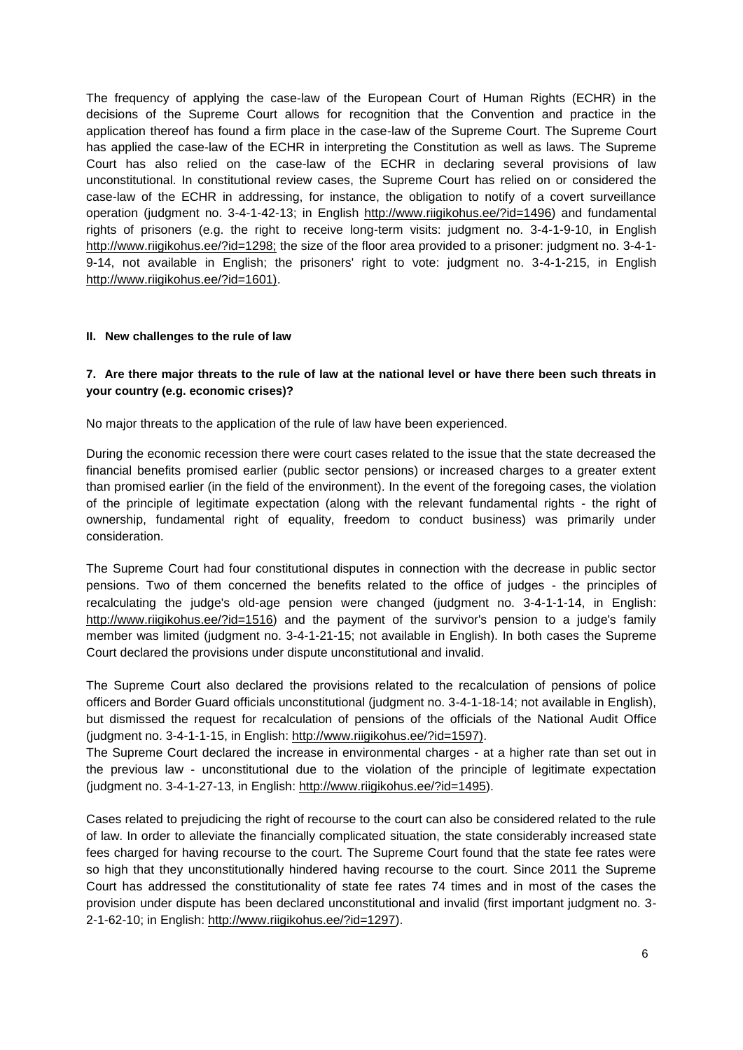The frequency of applying the case-law of the European Court of Human Rights (ECHR) in the decisions of the Supreme Court allows for recognition that the Convention and practice in the application thereof has found a firm place in the case-law of the Supreme Court. The Supreme Court has applied the case-law of the ECHR in interpreting the Constitution as well as laws. The Supreme Court has also relied on the case-law of the ECHR in declaring several provisions of law unconstitutional. In constitutional review cases, the Supreme Court has relied on or considered the case-law of the ECHR in addressing, for instance, the obligation to notify of a covert surveillance operation (judgment no. 3-4-1-42-13; in Engli[sh http://www.riigikohus.ee/?id=1496\)](http://www.riigikohus.ee/?id=1496) and fundamental rights of prisoners (e.g. the right to receive long-term visits: judgment no. 3-4-1-9-10, in Engli[sh](http://www.riigikohus.ee/?id=1298)  [http://www.riigikohus.ee/?id=1298;](http://www.riigikohus.ee/?id=1298) the size of the floor area provided to a prisoner: judgment no. 3-4-1- 9-14, not available in English; the prisoners' right to vote: judgment no. 3-4-1-215, in Engli[sh](http://www.riigikohus.ee/?id=1601)  [http://www.riigikohus.ee/?id=1601\).](http://www.riigikohus.ee/?id=1601)

#### **II. New challenges to the rule of law**

### **7. Are there major threats to the rule of law at the national level or have there been such threats in your country (e.g. economic crises)?**

No major threats to the application of the rule of law have been experienced.

During the economic recession there were court cases related to the issue that the state decreased the financial benefits promised earlier (public sector pensions) or increased charges to a greater extent than promised earlier (in the field of the environment). In the event of the foregoing cases, the violation of the principle of legitimate expectation (along with the relevant fundamental rights - the right of ownership, fundamental right of equality, freedom to conduct business) was primarily under consideration.

The Supreme Court had four constitutional disputes in connection with the decrease in public sector pensions. Two of them concerned the benefits related to the office of judges - the principles of recalculating the judge's old-age pension were changed (judgment no. 3-4-1-1-14, in Englis[h:](http://www.riigikohus.ee/?id=1516) [http://www.riigikohus.ee/?id=1516\)](http://www.riigikohus.ee/?id=1516) and the payment of the survivor's pension to a judge's family member was limited (judgment no. 3-4-1-21-15; not available in English). In both cases the Supreme Court declared the provisions under dispute unconstitutional and invalid.

The Supreme Court also declared the provisions related to the recalculation of pensions of police officers and Border Guard officials unconstitutional (judgment no. 3-4-1-18-14; not available in English), but dismissed the request for recalculation of pensions of the officials of the National Audit Office (judgment no. 3-4-1-1-15, in Englis[h: http://www.riigikohus.ee/?id=1597\).](http://www.riigikohus.ee/?id=1597)

The Supreme Court declared the increase in environmental charges - at a higher rate than set out in the previous law - unconstitutional due to the violation of the principle of legitimate expectation (judgment no. 3-4-1-27-13, in Englis[h: http://www.riigikohus.ee/?id=1495\).](http://www.riigikohus.ee/?id=1495)

Cases related to prejudicing the right of recourse to the court can also be considered related to the rule of law. In order to alleviate the financially complicated situation, the state considerably increased state fees charged for having recourse to the court. The Supreme Court found that the state fee rates were so high that they unconstitutionally hindered having recourse to the court. Since 2011 the Supreme Court has addressed the constitutionality of state fee rates 74 times and in most of the cases the provision under dispute has been declared unconstitutional and invalid (first important judgment no. 3- 2-1-62-10; in Englis[h: http://www.riigikohus.ee/?id=1297\).](http://www.riigikohus.ee/?id=1297)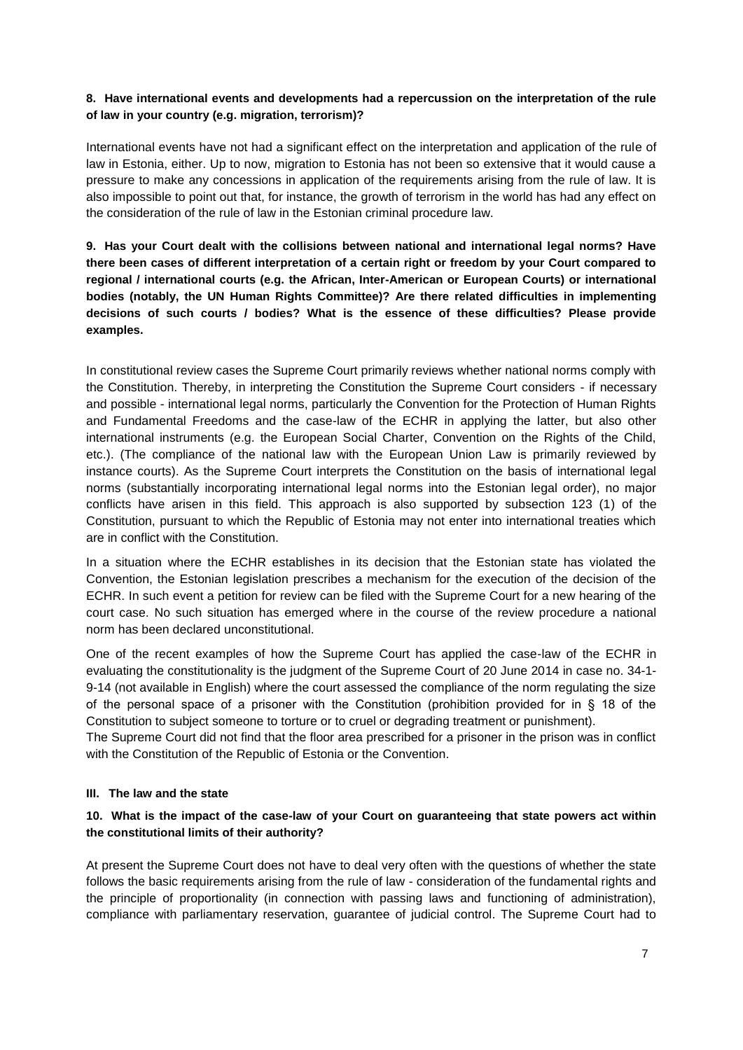### **8. Have international events and developments had a repercussion on the interpretation of the rule of law in your country (e.g. migration, terrorism)?**

International events have not had a significant effect on the interpretation and application of the rule of law in Estonia, either. Up to now, migration to Estonia has not been so extensive that it would cause a pressure to make any concessions in application of the requirements arising from the rule of law. It is also impossible to point out that, for instance, the growth of terrorism in the world has had any effect on the consideration of the rule of law in the Estonian criminal procedure law.

**9. Has your Court dealt with the collisions between national and international legal norms? Have there been cases of different interpretation of a certain right or freedom by your Court compared to regional / international courts (e.g. the African, Inter-American or European Courts) or international bodies (notably, the UN Human Rights Committee)? Are there related difficulties in implementing decisions of such courts / bodies? What is the essence of these difficulties? Please provide examples.**

In constitutional review cases the Supreme Court primarily reviews whether national norms comply with the Constitution. Thereby, in interpreting the Constitution the Supreme Court considers - if necessary and possible - international legal norms, particularly the Convention for the Protection of Human Rights and Fundamental Freedoms and the case-law of the ECHR in applying the latter, but also other international instruments (e.g. the European Social Charter, Convention on the Rights of the Child, etc.). (The compliance of the national law with the European Union Law is primarily reviewed by instance courts). As the Supreme Court interprets the Constitution on the basis of international legal norms (substantially incorporating international legal norms into the Estonian legal order), no major conflicts have arisen in this field. This approach is also supported by subsection 123 (1) of the Constitution, pursuant to which the Republic of Estonia may not enter into international treaties which are in conflict with the Constitution.

In a situation where the ECHR establishes in its decision that the Estonian state has violated the Convention, the Estonian legislation prescribes a mechanism for the execution of the decision of the ECHR. In such event a petition for review can be filed with the Supreme Court for a new hearing of the court case. No such situation has emerged where in the course of the review procedure a national norm has been declared unconstitutional.

One of the recent examples of how the Supreme Court has applied the case-law of the ECHR in evaluating the constitutionality is the judgment of the Supreme Court of 20 June 2014 in case no. 34-1- 9-14 (not available in English) where the court assessed the compliance of the norm regulating the size of the personal space of a prisoner with the Constitution (prohibition provided for in § 18 of the Constitution to subject someone to torture or to cruel or degrading treatment or punishment).

The Supreme Court did not find that the floor area prescribed for a prisoner in the prison was in conflict with the Constitution of the Republic of Estonia or the Convention.

#### **III. The law and the state**

### **10. What is the impact of the case-law of your Court on guaranteeing that state powers act within the constitutional limits of their authority?**

At present the Supreme Court does not have to deal very often with the questions of whether the state follows the basic requirements arising from the rule of law - consideration of the fundamental rights and the principle of proportionality (in connection with passing laws and functioning of administration), compliance with parliamentary reservation, guarantee of judicial control. The Supreme Court had to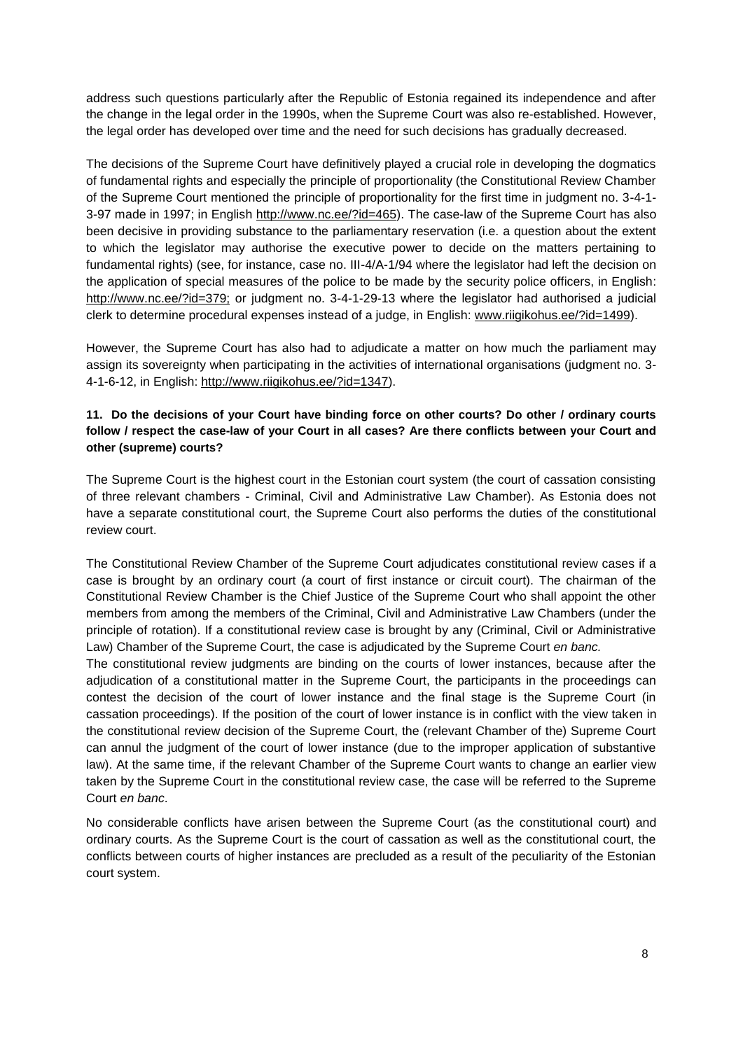address such questions particularly after the Republic of Estonia regained its independence and after the change in the legal order in the 1990s, when the Supreme Court was also re-established. However, the legal order has developed over time and the need for such decisions has gradually decreased.

The decisions of the Supreme Court have definitively played a crucial role in developing the dogmatics of fundamental rights and especially the principle of proportionality (the Constitutional Review Chamber of the Supreme Court mentioned the principle of proportionality for the first time in judgment no. 3-4-1 3-97 made in 1997; in Engli[sh http://www.nc.ee/?id=465\).](http://www.nc.ee/?id=465) The case-law of the Supreme Court has also been decisive in providing substance to the parliamentary reservation (i.e. a question about the extent to which the legislator may authorise the executive power to decide on the matters pertaining to fundamental rights) (see, for instance, case no. III-4/A-1/94 where the legislator had left the decision on the application of special measures of the police to be made by the security police officers, in Englis[h:](http://www.nc.ee/?id=379)  [http://www.nc.ee/?id=379;](http://www.nc.ee/?id=379) or judgment no. 3-4-1-29-13 where the legislator had authorised a judicial clerk to determine procedural expenses instead of a judge, in Englis[h: www.riigikohus.ee/?id=1499\).](http://www.riigikohus.ee/?id=1499)

However, the Supreme Court has also had to adjudicate a matter on how much the parliament may assign its sovereignty when participating in the activities of international organisations (judgment no. 3 4-1-6-12, in Englis[h: http://www.riigikohus.ee/?id=1347\).](http://www.riigikohus.ee/?id=1347)

# **11. Do the decisions of your Court have binding force on other courts? Do other / ordinary courts follow / respect the case-law of your Court in all cases? Are there conflicts between your Court and other (supreme) courts?**

The Supreme Court is the highest court in the Estonian court system (the court of cassation consisting of three relevant chambers - Criminal, Civil and Administrative Law Chamber). As Estonia does not have a separate constitutional court, the Supreme Court also performs the duties of the constitutional review court.

The Constitutional Review Chamber of the Supreme Court adjudicates constitutional review cases if a case is brought by an ordinary court (a court of first instance or circuit court). The chairman of the Constitutional Review Chamber is the Chief Justice of the Supreme Court who shall appoint the other members from among the members of the Criminal, Civil and Administrative Law Chambers (under the principle of rotation). If a constitutional review case is brought by any (Criminal, Civil or Administrative Law) Chamber of the Supreme Court, the case is adjudicated by the Supreme Court *en banc.*

The constitutional review judgments are binding on the courts of lower instances, because after the adjudication of a constitutional matter in the Supreme Court, the participants in the proceedings can contest the decision of the court of lower instance and the final stage is the Supreme Court (in cassation proceedings). If the position of the court of lower instance is in conflict with the view taken in the constitutional review decision of the Supreme Court, the (relevant Chamber of the) Supreme Court can annul the judgment of the court of lower instance (due to the improper application of substantive law). At the same time, if the relevant Chamber of the Supreme Court wants to change an earlier view taken by the Supreme Court in the constitutional review case, the case will be referred to the Supreme Court *en banc*.

No considerable conflicts have arisen between the Supreme Court (as the constitutional court) and ordinary courts. As the Supreme Court is the court of cassation as well as the constitutional court, the conflicts between courts of higher instances are precluded as a result of the peculiarity of the Estonian court system.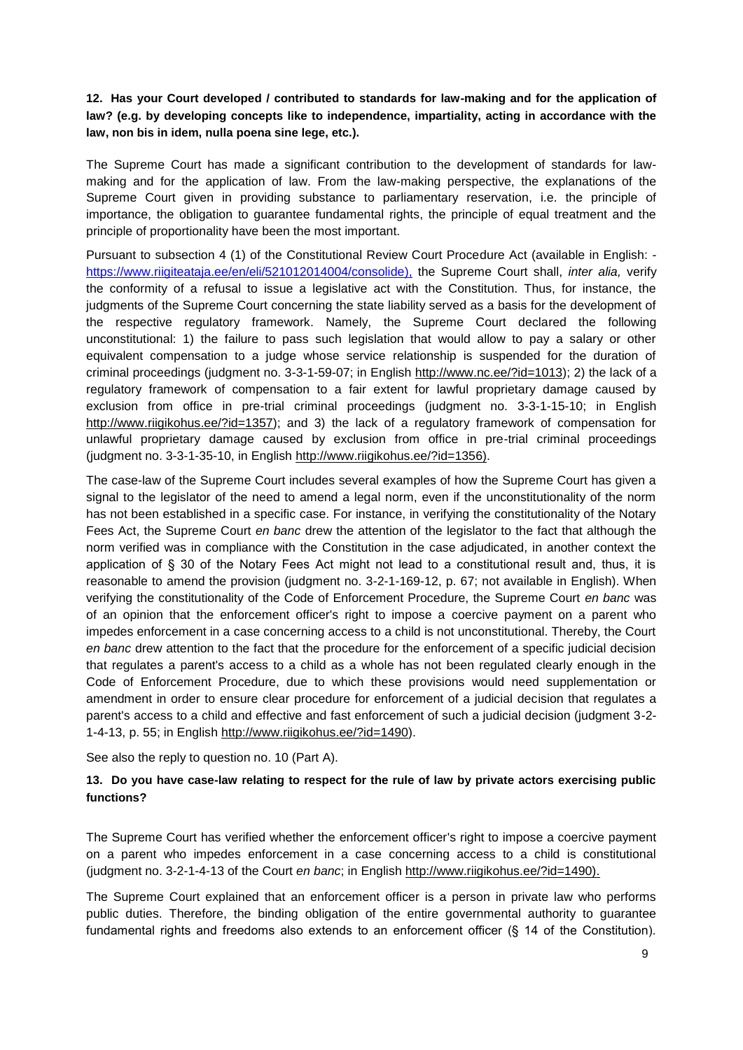**12. Has your Court developed / contributed to standards for law-making and for the application of law? (e.g. by developing concepts like to independence, impartiality, acting in accordance with the law, non bis in idem, nulla poena sine lege, etc.).**

The Supreme Court has made a significant contribution to the development of standards for lawmaking and for the application of law. From the law-making perspective, the explanations of the Supreme Court given in providing substance to parliamentary reservation, i.e. the principle of importance, the obligation to guarantee fundamental rights, the principle of equal treatment and the principle of proportionality have been the most important.

Pursuant to subsection 4 (1) of the Constitutional Review Court Procedure Act (available in English: [https://www.riigiteataja.ee/en/eli/521012014004/consolide\),](https://www.riigiteataja.ee/en/eli/521012014004/consolide)) the Supreme Court shall, *inter alia,* verify the conformity of a refusal to issue a legislative act with the Constitution. Thus, for instance, the judgments of the Supreme Court concerning the state liability served as a basis for the development of the respective regulatory framework. Namely, the Supreme Court declared the following unconstitutional: 1) the failure to pass such legislation that would allow to pay a salary or other equivalent compensation to a judge whose service relationship is suspended for the duration of criminal proceedings (judgment no. 3-3-1-59-07; in English [http://www.nc.ee/?id=1013\);](http://www.nc.ee/?id=1013) 2) the lack of a regulatory framework of compensation to a fair extent for lawful proprietary damage caused by exclusion from office in pre-trial criminal proceedings (judgment no. 3-3-1-15-10; in Englis[h](http://www.riigikohus.ee/?id=1357) [http://www.riigikohus.ee/?id=1357\);](http://www.riigikohus.ee/?id=1357) and 3) the lack of a regulatory framework of compensation for unlawful proprietary damage caused by exclusion from office in pre-trial criminal proceedings (judgment no. 3-3-1-35-10, in English [http://www.riigikohus.ee/?id=1356\).](http://www.riigikohus.ee/?id=1356)

The case-law of the Supreme Court includes several examples of how the Supreme Court has given a signal to the legislator of the need to amend a legal norm, even if the unconstitutionality of the norm has not been established in a specific case. For instance, in verifying the constitutionality of the Notary Fees Act, the Supreme Court *en banc* drew the attention of the legislator to the fact that although the norm verified was in compliance with the Constitution in the case adjudicated, in another context the application of § 30 of the Notary Fees Act might not lead to a constitutional result and, thus, it is reasonable to amend the provision (judgment no. 3-2-1-169-12, p. 67; not available in English). When verifying the constitutionality of the Code of Enforcement Procedure, the Supreme Court *en banc* was of an opinion that the enforcement officer's right to impose a coercive payment on a parent who impedes enforcement in a case concerning access to a child is not unconstitutional. Thereby, the Court *en banc* drew attention to the fact that the procedure for the enforcement of a specific judicial decision that regulates a parent's access to a child as a whole has not been regulated clearly enough in the Code of Enforcement Procedure, due to which these provisions would need supplementation or amendment in order to ensure clear procedure for enforcement of a judicial decision that regulates a parent's access to a child and effective and fast enforcement of such a judicial decision (judgment 3-2- 1-4-13, p. 55; in Engli[sh](http://www.riigikohus.ee/?id=1490) [http://www.riigikohus.ee/?id=1490\).](http://www.riigikohus.ee/?id=1490)

See also the reply to question no. 10 (Part A).

### **13. Do you have case-law relating to respect for the rule of law by private actors exercising public functions?**

The Supreme Court has verified whether the enforcement officer's right to impose a coercive payment on a parent who impedes enforcement in a case concerning access to a child is constitutional (judgment no. 3-2-1-4-13 of the Court *en banc*; in Engli[sh](http://www.riigikohus.ee/?id=1490) [http://www.riigikohus.ee/?id=1490\).](http://www.riigikohus.ee/?id=1490)

The Supreme Court explained that an enforcement officer is a person in private law who performs public duties. Therefore, the binding obligation of the entire governmental authority to guarantee fundamental rights and freedoms also extends to an enforcement officer (§ 14 of the Constitution).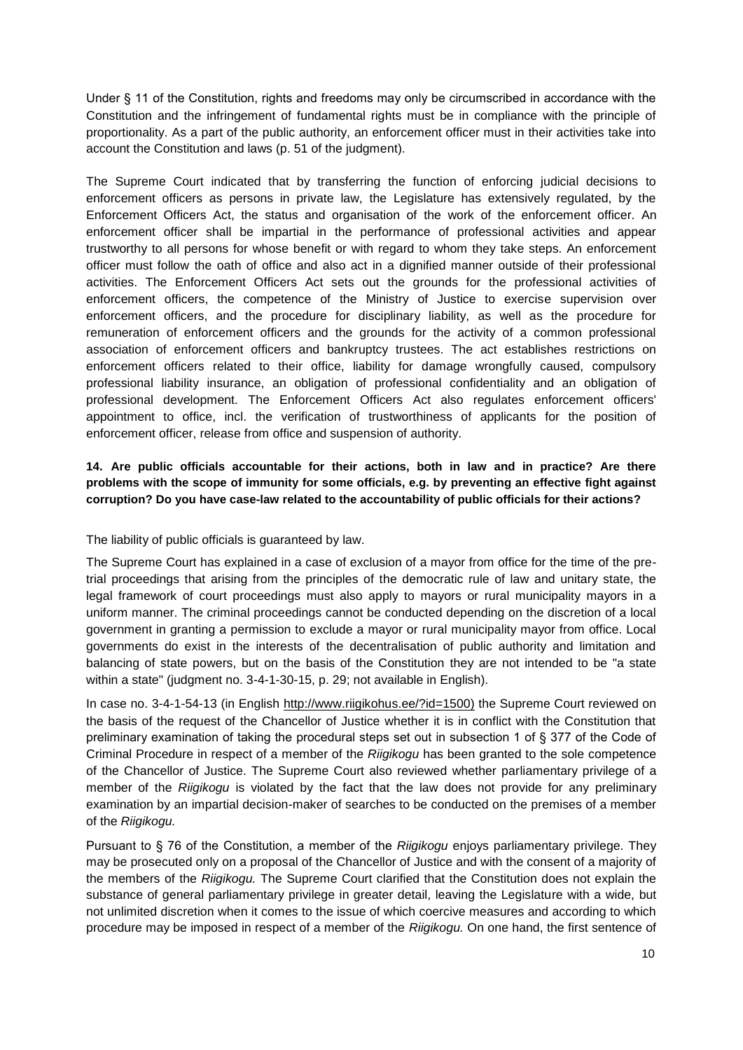Under § 11 of the Constitution, rights and freedoms may only be circumscribed in accordance with the Constitution and the infringement of fundamental rights must be in compliance with the principle of proportionality. As a part of the public authority, an enforcement officer must in their activities take into account the Constitution and laws (p. 51 of the judgment).

The Supreme Court indicated that by transferring the function of enforcing judicial decisions to enforcement officers as persons in private law, the Legislature has extensively regulated, by the Enforcement Officers Act, the status and organisation of the work of the enforcement officer. An enforcement officer shall be impartial in the performance of professional activities and appear trustworthy to all persons for whose benefit or with regard to whom they take steps. An enforcement officer must follow the oath of office and also act in a dignified manner outside of their professional activities. The Enforcement Officers Act sets out the grounds for the professional activities of enforcement officers, the competence of the Ministry of Justice to exercise supervision over enforcement officers, and the procedure for disciplinary liability, as well as the procedure for remuneration of enforcement officers and the grounds for the activity of a common professional association of enforcement officers and bankruptcy trustees. The act establishes restrictions on enforcement officers related to their office, liability for damage wrongfully caused, compulsory professional liability insurance, an obligation of professional confidentiality and an obligation of professional development. The Enforcement Officers Act also regulates enforcement officers' appointment to office, incl. the verification of trustworthiness of applicants for the position of enforcement officer, release from office and suspension of authority.

# **14. Are public officials accountable for their actions, both in law and in practice? Are there problems with the scope of immunity for some officials, e.g. by preventing an effective fight against corruption? Do you have case-law related to the accountability of public officials for their actions?**

The liability of public officials is guaranteed by law.

The Supreme Court has explained in a case of exclusion of a mayor from office for the time of the pretrial proceedings that arising from the principles of the democratic rule of law and unitary state, the legal framework of court proceedings must also apply to mayors or rural municipality mayors in a uniform manner. The criminal proceedings cannot be conducted depending on the discretion of a local government in granting a permission to exclude a mayor or rural municipality mayor from office. Local governments do exist in the interests of the decentralisation of public authority and limitation and balancing of state powers, but on the basis of the Constitution they are not intended to be "a state within a state" (judgment no. 3-4-1-30-15, p. 29; not available in English).

In case no. 3-4-1-54-13 (in Engli[sh http://www.riigikohus.ee/?id=1500\)](http://www.riigikohus.ee/?id=1500) the Supreme Court reviewed on the basis of the request of the Chancellor of Justice whether it is in conflict with the Constitution that preliminary examination of taking the procedural steps set out in subsection 1 of § 377 of the Code of Criminal Procedure in respect of a member of the *Riigikogu* has been granted to the sole competence of the Chancellor of Justice. The Supreme Court also reviewed whether parliamentary privilege of a member of the *Riigikogu* is violated by the fact that the law does not provide for any preliminary examination by an impartial decision-maker of searches to be conducted on the premises of a member of the *Riigikogu.*

Pursuant to § 76 of the Constitution, a member of the *Riigikogu* enjoys parliamentary privilege. They may be prosecuted only on a proposal of the Chancellor of Justice and with the consent of a majority of the members of the *Riigikogu.* The Supreme Court clarified that the Constitution does not explain the substance of general parliamentary privilege in greater detail, leaving the Legislature with a wide, but not unlimited discretion when it comes to the issue of which coercive measures and according to which procedure may be imposed in respect of a member of the *Riigikogu.* On one hand, the first sentence of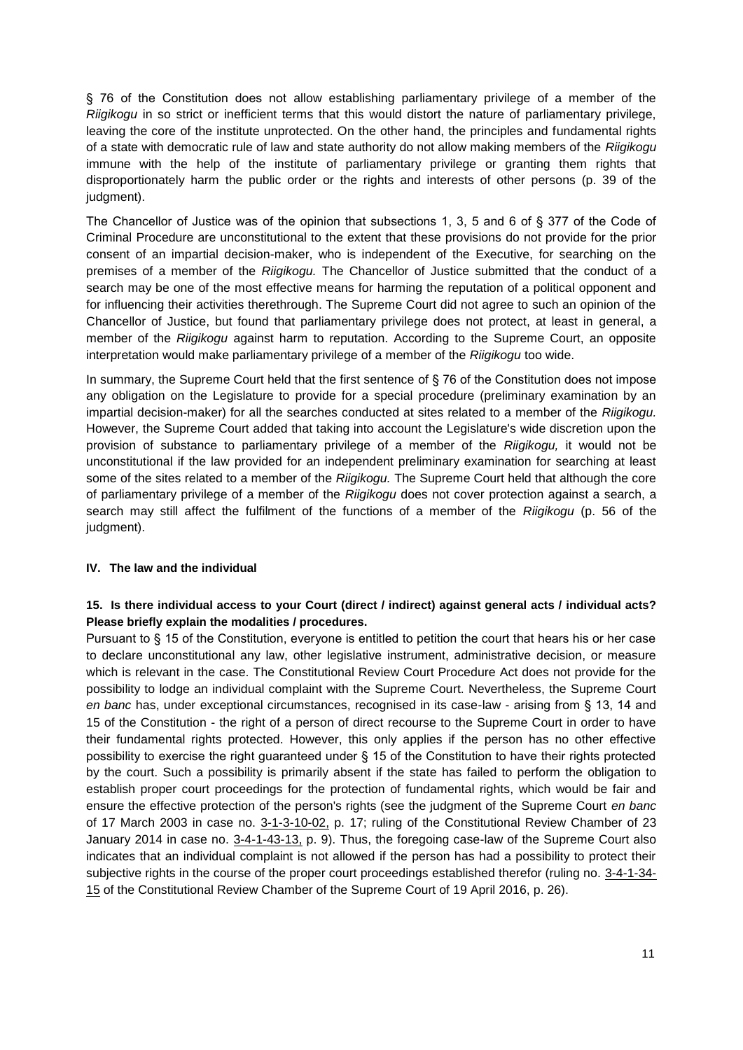§ 76 of the Constitution does not allow establishing parliamentary privilege of a member of the *Riigikogu* in so strict or inefficient terms that this would distort the nature of parliamentary privilege, leaving the core of the institute unprotected. On the other hand, the principles and fundamental rights of a state with democratic rule of law and state authority do not allow making members of the *Riigikogu* immune with the help of the institute of parliamentary privilege or granting them rights that disproportionately harm the public order or the rights and interests of other persons (p. 39 of the judgment).

The Chancellor of Justice was of the opinion that subsections 1, 3, 5 and 6 of § 377 of the Code of Criminal Procedure are unconstitutional to the extent that these provisions do not provide for the prior consent of an impartial decision-maker, who is independent of the Executive, for searching on the premises of a member of the *Riigikogu.* The Chancellor of Justice submitted that the conduct of a search may be one of the most effective means for harming the reputation of a political opponent and for influencing their activities therethrough. The Supreme Court did not agree to such an opinion of the Chancellor of Justice, but found that parliamentary privilege does not protect, at least in general, a member of the *Riigikogu* against harm to reputation. According to the Supreme Court, an opposite interpretation would make parliamentary privilege of a member of the *Riigikogu* too wide.

In summary, the Supreme Court held that the first sentence of § 76 of the Constitution does not impose any obligation on the Legislature to provide for a special procedure (preliminary examination by an impartial decision-maker) for all the searches conducted at sites related to a member of the *Riigikogu.* However, the Supreme Court added that taking into account the Legislature's wide discretion upon the provision of substance to parliamentary privilege of a member of the *Riigikogu,* it would not be unconstitutional if the law provided for an independent preliminary examination for searching at least some of the sites related to a member of the *Riigikogu.* The Supreme Court held that although the core of parliamentary privilege of a member of the *Riigikogu* does not cover protection against a search, a search may still affect the fulfilment of the functions of a member of the *Riigikogu* (p. 56 of the judgment).

### **IV. The law and the individual**

### **15. Is there individual access to your Court (direct / indirect) against general acts / individual acts? Please briefly explain the modalities / procedures.**

Pursuant to § 15 of the Constitution, everyone is entitled to petition the court that hears his or her case to declare unconstitutional any law, other legislative instrument, administrative decision, or measure which is relevant in the case. The Constitutional Review Court Procedure Act does not provide for the possibility to lodge an individual complaint with the Supreme Court. Nevertheless, the Supreme Court *en banc* has, under exceptional circumstances, recognised in its case-law - arising from § 13, 14 and 15 of the Constitution - the right of a person of direct recourse to the Supreme Court in order to have their fundamental rights protected. However, this only applies if the person has no other effective possibility to exercise the right guaranteed under § 15 of the Constitution to have their rights protected by the court. Such a possibility is primarily absent if the state has failed to perform the obligation to establish proper court proceedings for the protection of fundamental rights, which would be fair and ensure the effective protection of the person's rights (see the judgment of the Supreme Court *en banc* of 17 March 2003 in case no. [3-1-3-10-02,](http://www.riigikohus.ee/?id=11&tekst=222465804) p. 17; ruling of the Constitutional Review Chamber of 23 January 2014 in case no. 3-4-1-43-13, p. 9). Thus, the foregoing case-law of the Supreme Court also indicates that an individual complaint is not allowed if the person has had a possibility to protect their subjective rights in the course of the proper court proceedings established therefor (ruling no. 3-4-1-34-15 of the Constitutional Review Chamber of the Supreme Court of 19 April 2016, p. 26).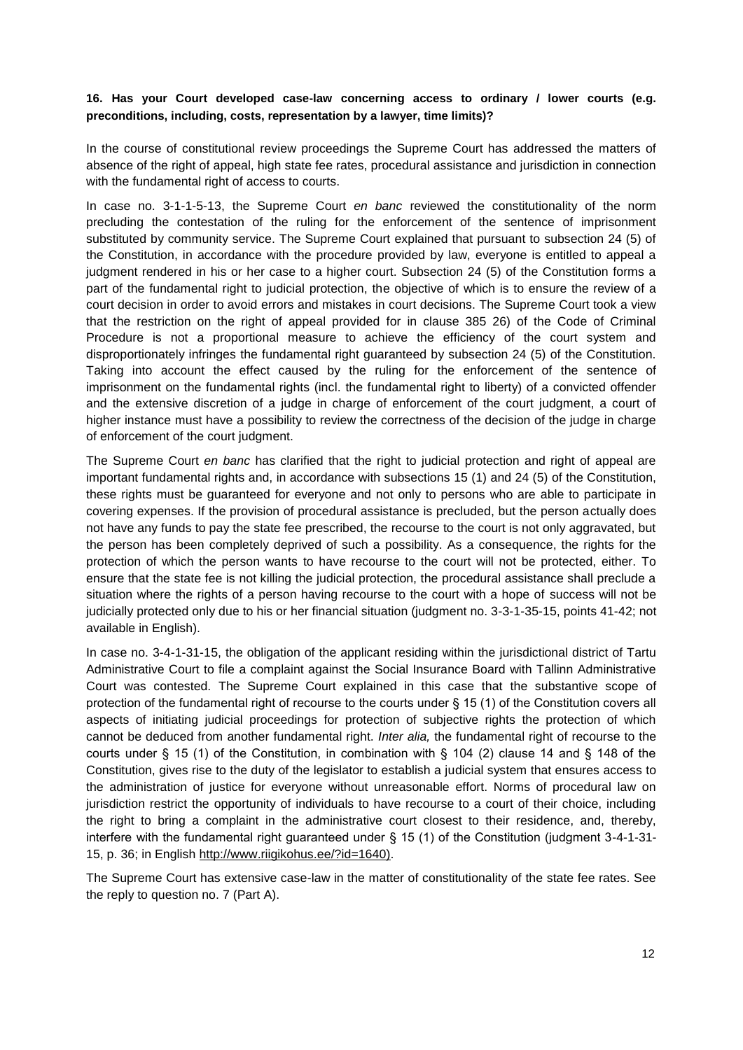### **16. Has your Court developed case-law concerning access to ordinary / lower courts (e.g. preconditions, including, costs, representation by a lawyer, time limits)?**

In the course of constitutional review proceedings the Supreme Court has addressed the matters of absence of the right of appeal, high state fee rates, procedural assistance and jurisdiction in connection with the fundamental right of access to courts.

In case no. 3-1-1-5-13, the Supreme Court *en banc* reviewed the constitutionality of the norm precluding the contestation of the ruling for the enforcement of the sentence of imprisonment substituted by community service. The Supreme Court explained that pursuant to subsection 24 (5) of the Constitution, in accordance with the procedure provided by law, everyone is entitled to appeal a judgment rendered in his or her case to a higher court. Subsection 24 (5) of the Constitution forms a part of the fundamental right to judicial protection, the objective of which is to ensure the review of a court decision in order to avoid errors and mistakes in court decisions. The Supreme Court took a view that the restriction on the right of appeal provided for in clause 385 26) of the Code of Criminal Procedure is not a proportional measure to achieve the efficiency of the court system and disproportionately infringes the fundamental right guaranteed by subsection 24 (5) of the Constitution. Taking into account the effect caused by the ruling for the enforcement of the sentence of imprisonment on the fundamental rights (incl. the fundamental right to liberty) of a convicted offender and the extensive discretion of a judge in charge of enforcement of the court judgment, a court of higher instance must have a possibility to review the correctness of the decision of the judge in charge of enforcement of the court judgment.

The Supreme Court *en banc* has clarified that the right to judicial protection and right of appeal are important fundamental rights and, in accordance with subsections 15 (1) and 24 (5) of the Constitution, these rights must be guaranteed for everyone and not only to persons who are able to participate in covering expenses. If the provision of procedural assistance is precluded, but the person actually does not have any funds to pay the state fee prescribed, the recourse to the court is not only aggravated, but the person has been completely deprived of such a possibility. As a consequence, the rights for the protection of which the person wants to have recourse to the court will not be protected, either. To ensure that the state fee is not killing the judicial protection, the procedural assistance shall preclude a situation where the rights of a person having recourse to the court with a hope of success will not be judicially protected only due to his or her financial situation (judgment no. 3-3-1-35-15, points 41-42; not available in English).

In case no. 3-4-1-31-15, the obligation of the applicant residing within the jurisdictional district of Tartu Administrative Court to file a complaint against the Social Insurance Board with Tallinn Administrative Court was contested. The Supreme Court explained in this case that the substantive scope of protection of the fundamental right of recourse to the courts under § 15 (1) of the Constitution covers all aspects of initiating judicial proceedings for protection of subjective rights the protection of which cannot be deduced from another fundamental right. *Inter alia,* the fundamental right of recourse to the courts under § 15 (1) of the Constitution, in combination with § 104 (2) clause 14 and § 148 of the Constitution, gives rise to the duty of the legislator to establish a judicial system that ensures access to the administration of justice for everyone without unreasonable effort. Norms of procedural law on jurisdiction restrict the opportunity of individuals to have recourse to a court of their choice, including the right to bring a complaint in the administrative court closest to their residence, and, thereby, interfere with the fundamental right guaranteed under § 15 (1) of the Constitution (judgment 3-4-1-31- 15, p. 36; in Engli[sh http://www.riigikohus.ee/?id=1640\).](http://www.riigikohus.ee/?id=1640)

The Supreme Court has extensive case-law in the matter of constitutionality of the state fee rates. See the reply to question no. 7 (Part A).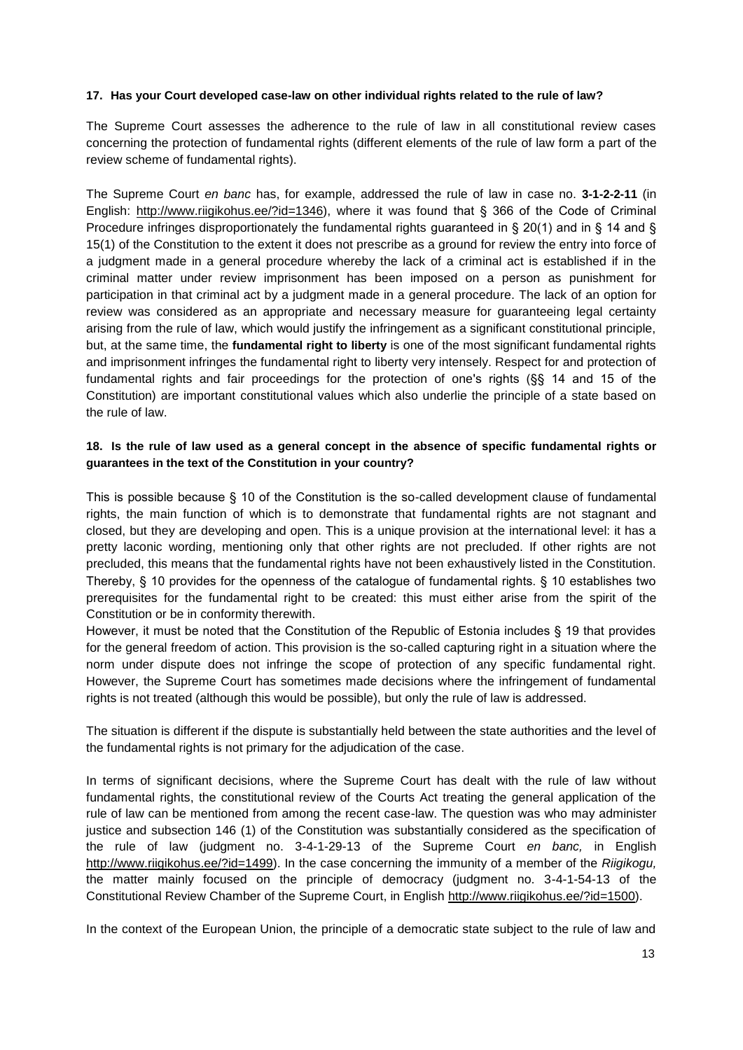#### **17. Has your Court developed case-law on other individual rights related to the rule of law?**

The Supreme Court assesses the adherence to the rule of law in all constitutional review cases concerning the protection of fundamental rights (different elements of the rule of law form a part of the review scheme of fundamental rights).

The Supreme Court *en banc* has, for example, addressed the rule of law in case no. **3-1-2-2-11** (in English: [http://www.riigikohus.ee/?id=1346\),](http://www.riigikohus.ee/?id=1346) where it was found that § 366 of the Code of Criminal Procedure infringes disproportionately the fundamental rights guaranteed in § 20(1) and in § 14 and § 15(1) of the Constitution to the extent it does not prescribe as a ground for review the entry into force of a judgment made in a general procedure whereby the lack of a criminal act is established if in the criminal matter under review imprisonment has been imposed on a person as punishment for participation in that criminal act by a judgment made in a general procedure. The lack of an option for review was considered as an appropriate and necessary measure for guaranteeing legal certainty arising from the rule of law, which would justify the infringement as a significant constitutional principle, but, at the same time, the **fundamental right to liberty** is one of the most significant fundamental rights and imprisonment infringes the fundamental right to liberty very intensely. Respect for and protection of fundamental rights and fair proceedings for the protection of one's rights (§§ 14 and 15 of the Constitution) are important constitutional values which also underlie the principle of a state based on the rule of law.

# **18. Is the rule of law used as a general concept in the absence of specific fundamental rights or guarantees in the text of the Constitution in your country?**

This is possible because § 10 of the Constitution is the so-called development clause of fundamental rights, the main function of which is to demonstrate that fundamental rights are not stagnant and closed, but they are developing and open. This is a unique provision at the international level: it has a pretty laconic wording, mentioning only that other rights are not precluded. If other rights are not precluded, this means that the fundamental rights have not been exhaustively listed in the Constitution. Thereby, § 10 provides for the openness of the catalogue of fundamental rights. § 10 establishes two prerequisites for the fundamental right to be created: this must either arise from the spirit of the Constitution or be in conformity therewith.

However, it must be noted that the Constitution of the Republic of Estonia includes § 19 that provides for the general freedom of action. This provision is the so-called capturing right in a situation where the norm under dispute does not infringe the scope of protection of any specific fundamental right. However, the Supreme Court has sometimes made decisions where the infringement of fundamental rights is not treated (although this would be possible), but only the rule of law is addressed.

The situation is different if the dispute is substantially held between the state authorities and the level of the fundamental rights is not primary for the adjudication of the case.

In terms of significant decisions, where the Supreme Court has dealt with the rule of law without fundamental rights, the constitutional review of the Courts Act treating the general application of the rule of law can be mentioned from among the recent case-law. The question was who may administer justice and subsection 146 (1) of the Constitution was substantially considered as the specification of the rule of law (judgment no. 3-4-1-29-13 of the Supreme Court *en banc,* in English [http://www.riigikohus.ee/?id=1499\).](http://www.riigikohus.ee/?id=1499) In the case concerning the immunity of a member of the *Riigikogu,* the matter mainly focused on the principle of democracy (judgment no. 3-4-1-54-13 of the Constitutional Review Chamber of the Supreme Court, in English [http://www.riigikohus.ee/?id=1500\).](http://www.riigikohus.ee/?id=1500)

In the context of the European Union, the principle of a democratic state subject to the rule of law and